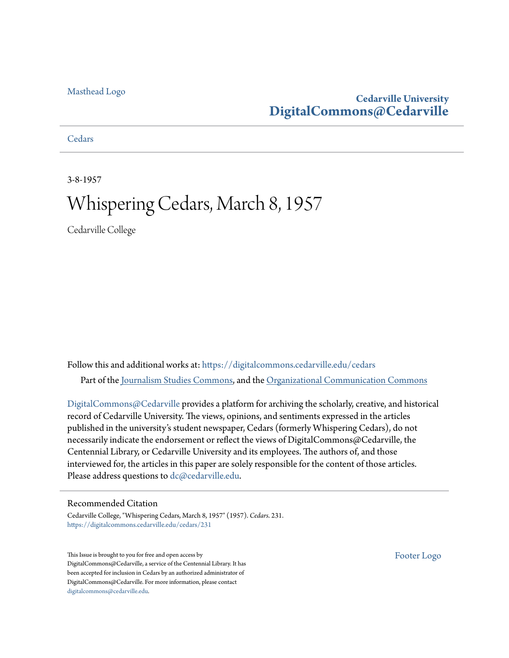# [Masthead Logo](http://www.cedarville.edu/?utm_source=digitalcommons.cedarville.edu%2Fcedars%2F231&utm_medium=PDF&utm_campaign=PDFCoverPages)

# **Cedarville University [DigitalCommons@Cedarville](https://digitalcommons.cedarville.edu?utm_source=digitalcommons.cedarville.edu%2Fcedars%2F231&utm_medium=PDF&utm_campaign=PDFCoverPages)**

**[Cedars](https://digitalcommons.cedarville.edu/cedars?utm_source=digitalcommons.cedarville.edu%2Fcedars%2F231&utm_medium=PDF&utm_campaign=PDFCoverPages)** 

3-8-1957

# Whispering Cedars, March 8, 1957

Cedarville College

Follow this and additional works at: [https://digitalcommons.cedarville.edu/cedars](https://digitalcommons.cedarville.edu/cedars?utm_source=digitalcommons.cedarville.edu%2Fcedars%2F231&utm_medium=PDF&utm_campaign=PDFCoverPages) Part of the [Journalism Studies Commons](http://network.bepress.com/hgg/discipline/333?utm_source=digitalcommons.cedarville.edu%2Fcedars%2F231&utm_medium=PDF&utm_campaign=PDFCoverPages), and the [Organizational Communication Commons](http://network.bepress.com/hgg/discipline/335?utm_source=digitalcommons.cedarville.edu%2Fcedars%2F231&utm_medium=PDF&utm_campaign=PDFCoverPages)

[DigitalCommons@Cedarville](http://digitalcommons.cedarville.edu/) provides a platform for archiving the scholarly, creative, and historical record of Cedarville University. The views, opinions, and sentiments expressed in the articles published in the university's student newspaper, Cedars (formerly Whispering Cedars), do not necessarily indicate the endorsement or reflect the views of DigitalCommons@Cedarville, the Centennial Library, or Cedarville University and its employees. The authors of, and those interviewed for, the articles in this paper are solely responsible for the content of those articles. Please address questions to [dc@cedarville.edu.](mailto:dc@cedarville.edu)

### Recommended Citation

Cedarville College, "Whispering Cedars, March 8, 1957" (1957). *Cedars*. 231. [https://digitalcommons.cedarville.edu/cedars/231](https://digitalcommons.cedarville.edu/cedars/231?utm_source=digitalcommons.cedarville.edu%2Fcedars%2F231&utm_medium=PDF&utm_campaign=PDFCoverPages)

This Issue is brought to you for free and open access by DigitalCommons@Cedarville, a service of the Centennial Library. It has been accepted for inclusion in Cedars by an authorized administrator of DigitalCommons@Cedarville. For more information, please contact [digitalcommons@cedarville.edu](mailto:digitalcommons@cedarville.edu).

[Footer Logo](http://www.cedarville.edu/Academics/Library.aspx?utm_source=digitalcommons.cedarville.edu%2Fcedars%2F231&utm_medium=PDF&utm_campaign=PDFCoverPages)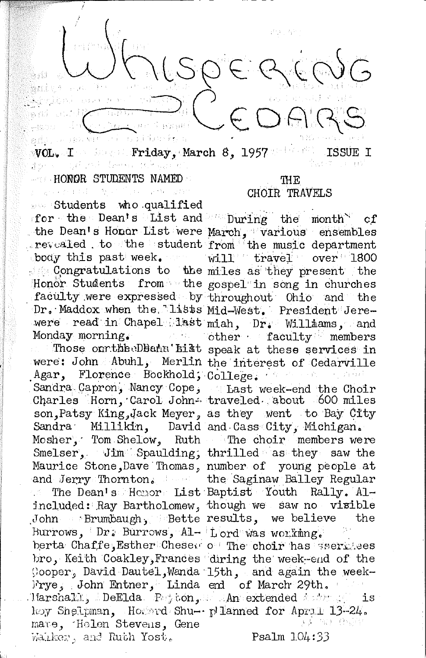edj, u navni Friday, March 8, 1957 wol. I also all

#### - HONDR STUDENTS NAMED

まうへい しびこうき

是人民的 经收益

ss Students who qualified for the Dean's List and During the month of the Dean's Honor List were March, various ensembles<br>revealed to the student from the music department body this past week. will travel over 1800

Honor Students from the gospel in song in churches faculty were expressed by throughout Ohio and the Dr. Maddox when the lists Mid-West. President Jerewere read in Chapel list miah, Dr. Williams, and Monday morning. To be there faculty members

were: John Abuhl, Merlin the interest of Cedarville Agar, Florence Bockhold, College, Against Marin Sandra Capron, Nancy Cope, Last week-end the Choir Charles Horn, Carol John- traveled about 600 miles son, Patsy King, Jack Meyer, as they went to Bay City Sandra Millikin, David and Cass City, Michigan. Mosher, Tom Shelow, Ruth The choir members were Smelser, Jim Spaulding, thrilled as they saw the Maurice Stone, Dave Thomas, number of young people at and Jerry Thornton. the Saginaw Balley Regular

included: Ray Bartholomew, though we saw no visible John Brumbaugh, Bette results, we believe Burrows, Dr. Burrows, Al- Lord was working. berta Chaffe, Esther Chesew of The choir has services bro, Keith Coakley, Frances diring the week-end of the Cooper, David Dautel, Wanda 15th, and again the week-Frye, John Entner, Linda end of March 29th. mare, Holen Stevens, Gene Walker, and Ruth Yost.

#### TH E CHOIR TRAVELS

Congratulations to the miles as they present the Those on the DBann'hist speak at these services in

The Dean's Honor List Baptist Youth Rally, Althe

Harshall, DeElda Pajtón, An extended andres is hoy Shelpman, Hossed Shu- plianned for Apral 13-24. 그녀는 말을 느낌입니?

 $Psalm 1.04:33$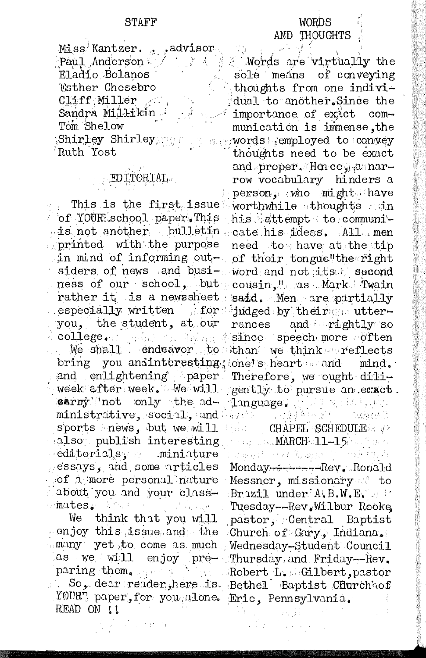Miss Kantzer. advisor Paul Anderson Eladio Bolanos Esther Chesebro Cliff Miller Sandra Millikin Tom Shelow Shirley Shirley Ruth Yost

# EDITORIAL

of YOUR school paper. This is not another bulletin cate his ideas. All men printed with the purpose in mind of informing outness of our school, but cousin," as Mark Twain rather it is a newssheet said. Men are partially especially written for judged by their a utteryou, the student, at our  $\texttt{college}$ . marka S

bring and enlightening paper week after week. We will carny not only the administrative, social, and and sports news, but we will also publish interesting editorials, miniature essays, and some articles of a more personal nature about you and your classmates.

We think that you will enjoy this issue and the Church of Gary, Indiana, many yet to come as much Wednesday-Student Council as we will enjoy pre- Thursday and Friday--Rev. paring them. The Robert LynnGilbert, pastor ii. YOURT paper, for you alone. Erie, Pennsylvania. READ ON !!

## **WORDS** AND THOUGHTS

Words are virtually the solé means of conveying thoughts from one individual to another. Since the importance of exact communication is immense, the **Reproved** semployed to convey thoughts need to be exact and proper. Hence, a narrow vocabulary hinders a person, who might have This is the first issue worthwhile thoughts . in his attempt to communineed to have at the tip of their tongue"the right siders of news and busi- word and not its second rances and rightly so Manuel Since speech more often We shall endeavor to than we think reflects you andinteresting; one's heart and mind. Therefore, we ought diligently to pursue an exact. **Tanguage**, Sale Wilson, and

> CHAPEL SCHEDULE ... March 11-15 and

후 화 문화

的复数重新 化氢苯

waren't more because in the require Monday-+------Rev. Ronald Messner, missionary to Brazil under A.B.W.E. only Tuesday -- Rev. Wilbur Rooke pastor, Central Baptist So, dear reader, here is Bethel Baptist Churchhof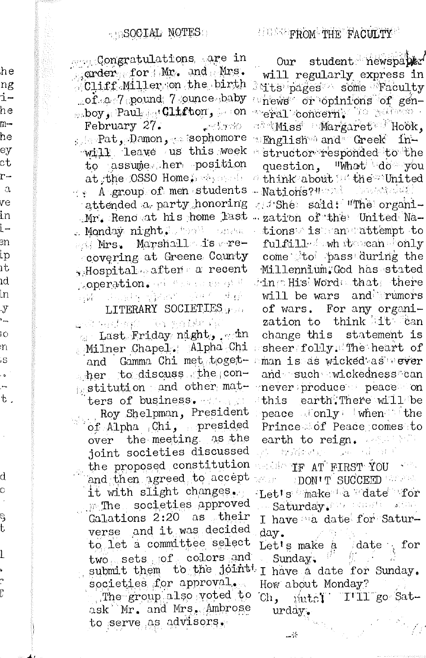Appendongratulations, are in grder for Mr. and Mrs. Cliff Miller on the birth of a 7 pound 7 ounce baby poy , Paul du Clifton, on February 27. Les En 190 s sophomore and plants . Damon will leave us this week to assume her position at the OSSO Home, we see the A group of men students attended a party honoring Mr. Reno at his home last azation of the United Na-. Monday night Judget conta Mrs. Marshall is recovering at Greene County , Hospital after a recent Apperation. He was a research gin sund them for which

he

ng

i-

he

 $m-$ 

he

ey

ct

r-

 $\alpha$ 

Vθ

in

i —

Эn

ίp

ıt

ıd

in.

-Y Ū,

i.o

'n

,s

 $\ddot{\bullet}$ 

÷,  $\rm t$  .

d

C

ę

t

l

 $\overline{.}$ 

Ē

## LITERARY SOCIETIES

end water? Te gaile Gl o Last Friday night, win Milner Chapel. Alpha Chi and Gamma Chi met toget the todiscuss the conpostitution and other matters of business. which is

Roy Shelpman, President of Alpha Chi, presided over the meeting as the joint societies discussed the proposed constitution and then agreed to accept it with slight changes. m The societies approved Galations 2:20 as their verse and it was decided to let a committee select two sets of colors and submit them to the joint! societies for approval. The group also voted to ask Mr. and Mrs. Ambrose

to serve as advisors.

Our student newspaped will regularly express in  $\beta$  its pages some Faculty whews or opinions of genreral concern, is palaes. **BigMiss** Margaret Hook, **English** and Greek instructor responded to the question, "What do you d think about is the United - Nations? " Des Steiner gest She said: "The organitions is an attempt to fulfill fown the can fonly come to pass during the Millennium.God has stated ding Hisl Word that there will be wars and rumors of wars. For any organization to think it can change this statement is sheer folly. The heart of man is as wicked as vever and such wickedness can never produce peace on this earth. There will be peace alonly when the Prince of Peace comes to earth to reign. And the gi bombay sa dan P

Makin IF AT FIRST YOU

WELF ROON TO SUCCEED THE STA Let's make a date for Saturday Management Com I have a date for Saturday.

Let's make a date for Sunday.

I have a date for Sunday. How about Monday?

Ch, mutel I'll go Saturday.

-%